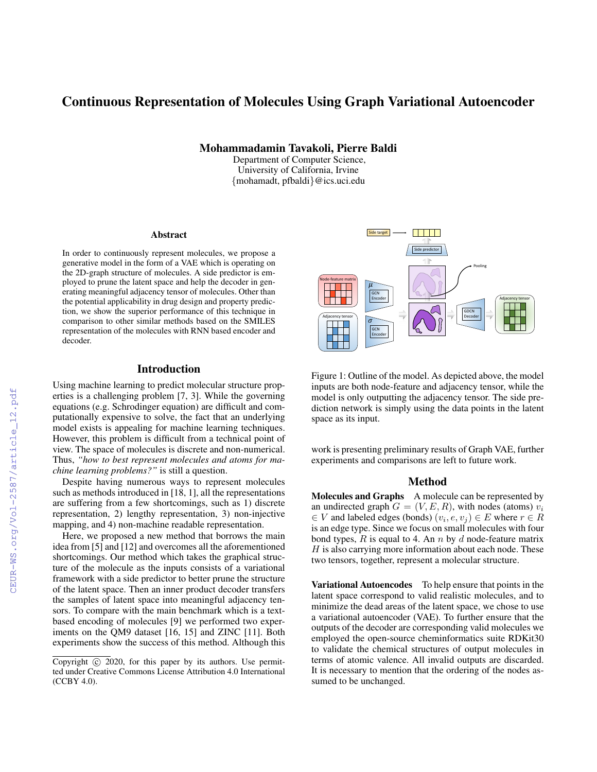# Continuous Representation of Molecules Using Graph Variational Autoencoder

Mohammadamin Tavakoli, Pierre Baldi

Department of Computer Science, University of California, Irvine {mohamadt, pfbaldi}@ics.uci.edu

#### Abstract

In order to continuously represent molecules, we propose a generative model in the form of a VAE which is operating on the 2D-graph structure of molecules. A side predictor is employed to prune the latent space and help the decoder in generating meaningful adjacency tensor of molecules. Other than the potential applicability in drug design and property prediction, we show the superior performance of this technique in comparison to other similar methods based on the SMILES representation of the molecules with RNN based encoder and decoder.

### Introduction

Using machine learning to predict molecular structure properties is a challenging problem [7, 3]. While the governing equations (e.g. Schrodinger equation) are difficult and computationally expensive to solve, the fact that an underlying model exists is appealing for machine learning techniques. However, this problem is difficult from a technical point of view. The space of molecules is discrete and non-numerical. Thus, *"how to best represent molecules and atoms for machine learning problems?"* is still a question.

Despite having numerous ways to represent molecules such as methods introduced in [18, 1], all the representations are suffering from a few shortcomings, such as 1) discrete representation, 2) lengthy representation, 3) non-injective mapping, and 4) non-machine readable representation.

Here, we proposed a new method that borrows the main idea from [5] and [12] and overcomes all the aforementioned shortcomings. Our method which takes the graphical structure of the molecule as the inputs consists of a variational framework with a side predictor to better prune the structure of the latent space. Then an inner product decoder transfers the samples of latent space into meaningful adjacency tensors. To compare with the main benchmark which is a textbased encoding of molecules [9] we performed two experiments on the QM9 dataset [16, 15] and ZINC [11]. Both experiments show the success of this method. Although this



Figure 1: Outline of the model. As depicted above, the model inputs are both node-feature and adjacency tensor, while the model is only outputting the adjacency tensor. The side prediction network is simply using the data points in the latent space as its input.

work is presenting preliminary results of Graph VAE, further experiments and comparisons are left to future work.

### Method

Molecules and Graphs A molecule can be represented by an undirected graph  $G = (V, E, R)$ , with nodes (atoms)  $v_i$  $\in V$  and labeled edges (bonds)  $(v_i, e, v_j) \in E$  where  $r \in R$ is an edge type. Since we focus on small molecules with four bond types,  $R$  is equal to 4. An  $n$  by  $d$  node-feature matrix  $H$  is also carrying more information about each node. These two tensors, together, represent a molecular structure.

Variational Autoencodes To help ensure that points in the latent space correspond to valid realistic molecules, and to minimize the dead areas of the latent space, we chose to use a variational autoencoder (VAE). To further ensure that the outputs of the decoder are corresponding valid molecules we employed the open-source cheminformatics suite RDKit30 to validate the chemical structures of output molecules in terms of atomic valence. All invalid outputs are discarded. It is necessary to mention that the ordering of the nodes assumed to be unchanged.

Copyright  $\odot$  2020, for this paper by its authors. Use permitted under Creative Commons License Attribution 4.0 International (CCBY 4.0).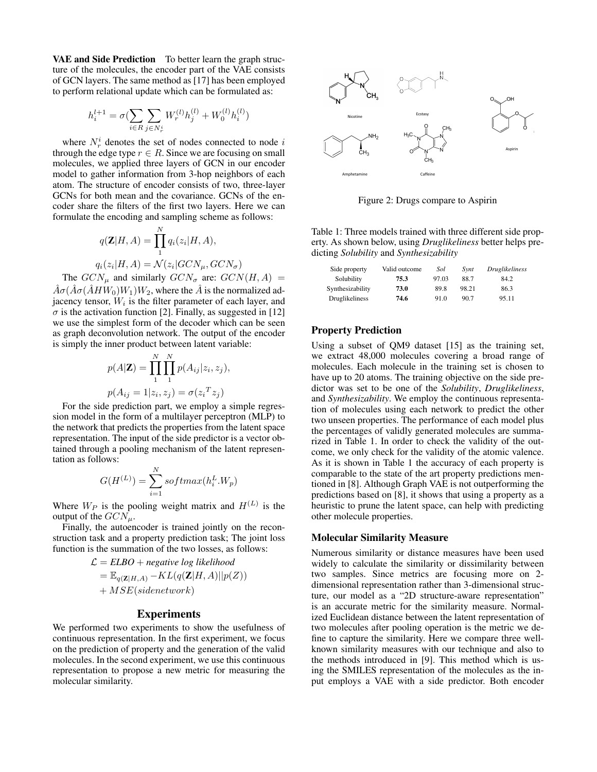VAE and Side Prediction To better learn the graph structure of the molecules, the encoder part of the VAE consists of GCN layers. The same method as [17] has been employed to perform relational update which can be formulated as:

$$
h_i^{l+1} = \sigma(\sum_{i \in R} \sum_{j \in N_r^i} W_r^{(l)} h_j^{(l)} + W_0^{(l)} h_i^{(l)})
$$

where  $N_r^i$  denotes the set of nodes connected to node i through the edge type  $r \in R$ . Since we are focusing on small molecules, we applied three layers of GCN in our encoder model to gather information from 3-hop neighbors of each atom. The structure of encoder consists of two, three-layer GCNs for both mean and the covariance. GCNs of the encoder share the filters of the first two layers. Here we can formulate the encoding and sampling scheme as follows:

$$
q(\mathbf{Z}|H,A) = \prod_{1}^{N} q_i(z_i|H,A),
$$
  

$$
q_i(z_i|H,A) = \mathcal{N}(z_i|GCN_{\mu},GCN_{\sigma})
$$

The  $GCN_{\mu}$  and similarly  $GCN_{\sigma}$  are:  $GCN(H, A)$  =  $\hat{A}\sigma(\hat{A}\sigma(\hat{A}HW_0)W_1)W_2$ , where the  $\hat{A}$  is the normalized adjacency tensor,  $W_i$  is the filter parameter of each layer, and  $\sigma$  is the activation function [2]. Finally, as suggested in [12] we use the simplest form of the decoder which can be seen as graph deconvolution network. The output of the encoder is simply the inner product between latent variable:

$$
p(A|\mathbf{Z}) = \prod_{1}^{N} \prod_{1}^{N} p(A_{ij}|z_i, z_j),
$$
  

$$
p(A_{ij} = 1|z_i, z_j) = \sigma(z_i^T z_j)
$$

For the side prediction part, we employ a simple regression model in the form of a multilayer perceptron (MLP) to the network that predicts the properties from the latent space representation. The input of the side predictor is a vector obtained through a pooling mechanism of the latent representation as follows:

$$
G(H^{(L)}) = \sum_{i=1}^{N} softmax(h_i^L.W_p)
$$

Where  $W_P$  is the pooling weight matrix and  $H^{(L)}$  is the output of the  $GCN_{\mu}$ .

Finally, the autoencoder is trained jointly on the reconstruction task and a property prediction task; The joint loss function is the summation of the two losses, as follows:

$$
\mathcal{L} = ELBO + negative log likelihood
$$
  
=  $\mathbb{E}_{q(\mathbf{Z}|H,A)} - KL(q(\mathbf{Z}|H,A)||p(Z))$   
+  $MSE(sidenetwork)$ 

### **Experiments**

We performed two experiments to show the usefulness of continuous representation. In the first experiment, we focus on the prediction of property and the generation of the valid molecules. In the second experiment, we use this continuous representation to propose a new metric for measuring the molecular similarity.



Figure 2: Drugs compare to Aspirin

Table 1: Three models trained with three different side property. As shown below, using *Druglikeliness* better helps predicting *Solubility* and *Synthesizability*

| Side property    | Valid outcome | Sol   | Synt  | <i>Druglikeliness</i> |
|------------------|---------------|-------|-------|-----------------------|
| Solubility       | 75.3          | 97.03 | 88.7  | 84.2                  |
| Synthesizability | 73.0          | 89.8  | 98.21 | 86.3                  |
| Druglikeliness   | 74.6          | 91.0  | 90.7  | 95.11                 |

#### Property Prediction

Using a subset of QM9 dataset [15] as the training set, we extract 48,000 molecules covering a broad range of molecules. Each molecule in the training set is chosen to have up to 20 atoms. The training objective on the side predictor was set to be one of the *Solubility*, *Druglikeliness*, and *Synthesizability*. We employ the continuous representation of molecules using each network to predict the other two unseen properties. The performance of each model plus the percentages of validly generated molecules are summarized in Table 1. In order to check the validity of the outcome, we only check for the validity of the atomic valence. As it is shown in Table 1 the accuracy of each property is comparable to the state of the art property predictions mentioned in [8]. Although Graph VAE is not outperforming the predictions based on [8], it shows that using a property as a heuristic to prune the latent space, can help with predicting other molecule properties.

#### Molecular Similarity Measure

Numerous similarity or distance measures have been used widely to calculate the similarity or dissimilarity between two samples. Since metrics are focusing more on 2 dimensional representation rather than 3-dimensional structure, our model as a "2D structure-aware representation" is an accurate metric for the similarity measure. Normalized Euclidean distance between the latent representation of two molecules after pooling operation is the metric we define to capture the similarity. Here we compare three wellknown similarity measures with our technique and also to the methods introduced in [9]. This method which is using the SMILES representation of the molecules as the input employs a VAE with a side predictor. Both encoder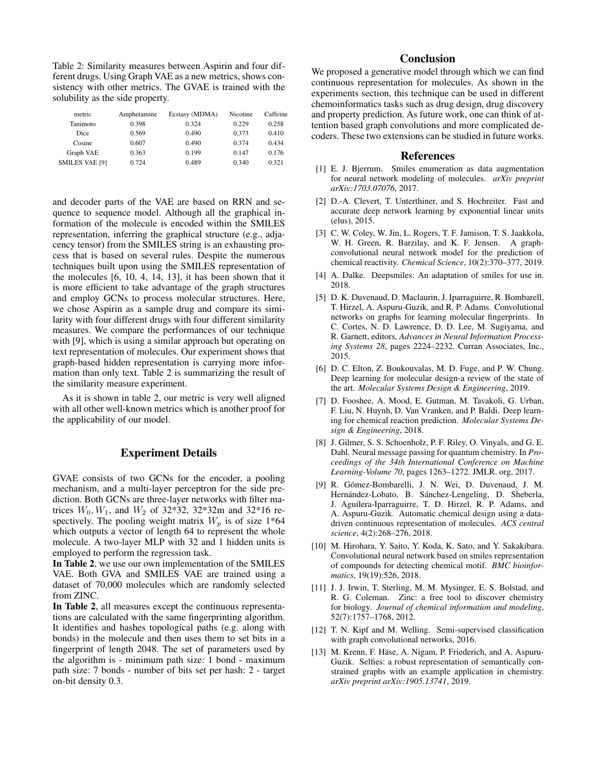Table 2: Similarity measures between Aspirin and four different drugs. Using Graph VAE as a new metrics, shows consistency with other metrics. The GVAE is trained with the solubility as the side property.

| metric                | Amphetamine | Ecstasy (MDMA) | Nicotine | Caffeine |
|-----------------------|-------------|----------------|----------|----------|
| Tanimoto              | 0.398       | 0.324          | 0.229    | 0.258    |
| Dice                  | 0.569       | 0.490          | 0.373    | 0.410    |
| Cosine                | 0.607       | 0.490          | 0.374    | 0.434    |
| Graph VAE             | 0.363       | 0.199          | 0.147    | 0.176    |
| <b>SMILES VAE [9]</b> | 0.724       | 0.489          | 0.340    | 0.321    |
|                       |             |                |          |          |

and decoder parts of the VAE are based on RRN and sequence to sequence model. Although all the graphical information of the molecule is encoded within the SMILES representation, inferring the graphical structure (e.g., adjacency tensor) from the SMILES string is an exhausting process that is based on several rules. Despite the numerous techniques built upon using the SMILES representation of the molecules [6, 10, 4, 14, 13], it has been shown that it is more efficient to take advantage of the graph structures and employ GCNs to process molecular structures. Here, we chose Aspirin as a sample drug and compare its similarity with four different drugs with four different similarity measures. We compare the performances of our technique with [9], which is using a similar approach but operating on text representation of molecules. Our experiment shows that graph-based hidden representation is carrying more information than only text. Table 2 is summarizing the result of the similarity measure experiment.

As it is shown in table 2, our metric is very well aligned with all other well-known metrics which is another proof for the applicability of our model.

### Experiment Details

GVAE consists of two GCNs for the encoder, a pooling mechanism, and a multi-layer perceptron for the side prediction. Both GCNs are three-layer networks with filter matrices  $W_0, W_1$ , and  $W_2$  of 32\*32, 32\*32m and 32\*16 respectively. The pooling weight matrix  $W_p$  is of size 1\*64 which outputs a vector of length 64 to represent the whole molecule. A two-layer MLP with 32 and 1 hidden units is employed to perform the regression task.

In Table 2, we use our own implementation of the SMILES VAE. Both GVA and SMILES VAE are trained using a dataset of 70,000 molecules which are randomly selected from ZINC.

In Table 2, all measures except the continuous representations are calculated with the same fingerprinting algorithm. It identifies and hashes topological paths (e.g. along with bonds) in the molecule and then uses them to set bits in a fingerprint of length 2048. The set of parameters used by the algorithm is - minimum path size: 1 bond - maximum path size: 7 bonds - number of bits set per hash: 2 - target on-bit density 0.3.

## **Conclusion**

We proposed a generative model through which we can find continuous representation for molecules. As shown in the experiments section, this technique can be used in different chemoinformatics tasks such as drug design, drug discovery and property prediction. As future work, one can think of attention based graph convolutions and more complicated decoders. These two extensions can be studied in future works.

#### References

- [1] E. J. Bjerrum. Smiles enumeration as data augmentation for neural network modeling of molecules. *arXiv preprint arXiv:1703.07076*, 2017.
- [2] D.-A. Clevert, T. Unterthiner, and S. Hochreiter. Fast and accurate deep network learning by exponential linear units (elus), 2015.
- [3] C. W. Coley, W. Jin, L. Rogers, T. F. Jamison, T. S. Jaakkola, W. H. Green, R. Barzilay, and K. F. Jensen. A graphconvolutional neural network model for the prediction of chemical reactivity. *Chemical Science*, 10(2):370–377, 2019.
- [4] A. Dalke. Deepsmiles: An adaptation of smiles for use in. 2018.
- [5] D. K. Duvenaud, D. Maclaurin, J. Iparraguirre, R. Bombarell, T. Hirzel, A. Aspuru-Guzik, and R. P. Adams. Convolutional networks on graphs for learning molecular fingerprints. In C. Cortes, N. D. Lawrence, D. D. Lee, M. Sugiyama, and R. Garnett, editors, *Advances in Neural Information Processing Systems 28*, pages 2224–2232. Curran Associates, Inc., 2015.
- [6] D. C. Elton, Z. Boukouvalas, M. D. Fuge, and P. W. Chung. Deep learning for molecular design-a review of the state of the art. *Molecular Systems Design & Engineering*, 2019.
- [7] D. Fooshee, A. Mood, E. Gutman, M. Tavakoli, G. Urban, F. Liu, N. Huynh, D. Van Vranken, and P. Baldi. Deep learning for chemical reaction prediction. *Molecular Systems Design & Engineering*, 2018.
- [8] J. Gilmer, S. S. Schoenholz, P. F. Riley, O. Vinyals, and G. E. Dahl. Neural message passing for quantum chemistry. In *Proceedings of the 34th International Conference on Machine Learning-Volume 70*, pages 1263–1272. JMLR. org, 2017.
- [9] R. Gómez-Bombarelli, J. N. Wei, D. Duvenaud, J. M. Hernández-Lobato, B. Sánchez-Lengeling, D. Sheberla, J. Aguilera-Iparraguirre, T. D. Hirzel, R. P. Adams, and A. Aspuru-Guzik. Automatic chemical design using a datadriven continuous representation of molecules. *ACS central science*, 4(2):268–276, 2018.
- [10] M. Hirohara, Y. Saito, Y. Koda, K. Sato, and Y. Sakakibara. Convolutional neural network based on smiles representation of compounds for detecting chemical motif. *BMC bioinformatics*, 19(19):526, 2018.
- [11] J. J. Irwin, T. Sterling, M. M. Mysinger, E. S. Bolstad, and R. G. Coleman. Zinc: a free tool to discover chemistry for biology. *Journal of chemical information and modeling*, 52(7):1757–1768, 2012.
- [12] T. N. Kipf and M. Welling. Semi-supervised classification with graph convolutional networks, 2016.
- [13] M. Krenn, F. Häse, A. Nigam, P. Friederich, and A. Aspuru-Guzik. Selfies: a robust representation of semantically constrained graphs with an example application in chemistry. *arXiv preprint arXiv:1905.13741*, 2019.